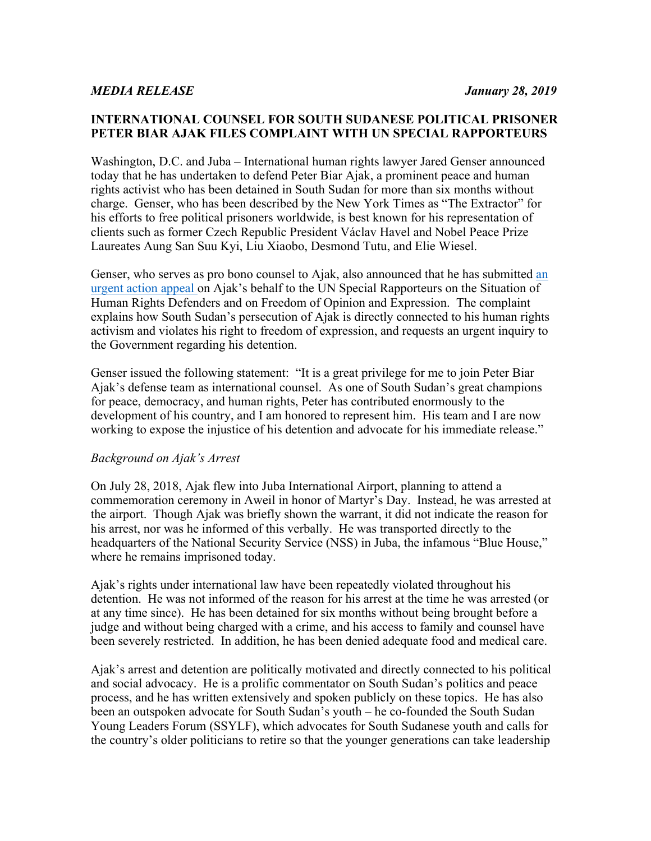## **INTERNATIONAL COUNSEL FOR SOUTH SUDANESE POLITICAL PRISONER PETER BIAR AJAK FILES COMPLAINT WITH UN SPECIAL RAPPORTEURS**

Washington, D.C. and Juba – International human rights lawyer Jared Genser announced today that he has undertaken to defend Peter Biar Ajak, a prominent peace and human rights activist who has been detained in South Sudan for more than six months without charge. Genser, who has been described by the New York Times as "The Extractor" for his efforts to free political prisoners worldwide, is best known for his representation of clients such as former Czech Republic President Václav Havel and Nobel Peace Prize Laureates Aung San Suu Kyi, Liu Xiaobo, Desmond Tutu, and Elie Wiesel.

Genser, who serves as pro bono counsel to Ajak, also announced that he has submitted an urgent action appeal on Ajak's behalf to the UN Special Rapporteurs on the Situation of Human Rights Defenders and on Freedom of Opinion and Expression. The complaint explains how South Sudan's persecution of Ajak is directly connected to his human rights activism and violates his right to freedom of expression, and requests an urgent inquiry to the Government regarding his detention.

Genser issued the following statement: "It is a great privilege for me to join Peter Biar Ajak's defense team as international counsel. As one of South Sudan's great champions for peace, democracy, and human rights, Peter has contributed enormously to the development of his country, and I am honored to represent him. His team and I are now working to expose the injustice of his detention and advocate for his immediate release."

## *Background on Ajak's Arrest*

On July 28, 2018, Ajak flew into Juba International Airport, planning to attend a commemoration ceremony in Aweil in honor of Martyr's Day. Instead, he was arrested at the airport. Though Ajak was briefly shown the warrant, it did not indicate the reason for his arrest, nor was he informed of this verbally. He was transported directly to the headquarters of the National Security Service (NSS) in Juba, the infamous "Blue House," where he remains imprisoned today.

Ajak's rights under international law have been repeatedly violated throughout his detention. He was not informed of the reason for his arrest at the time he was arrested (or at any time since). He has been detained for six months without being brought before a judge and without being charged with a crime, and his access to family and counsel have been severely restricted. In addition, he has been denied adequate food and medical care.

Ajak's arrest and detention are politically motivated and directly connected to his political and social advocacy. He is a prolific commentator on South Sudan's politics and peace process, and he has written extensively and spoken publicly on these topics. He has also been an outspoken advocate for South Sudan's youth – he co-founded the South Sudan Young Leaders Forum (SSYLF), which advocates for South Sudanese youth and calls for the country's older politicians to retire so that the younger generations can take leadership